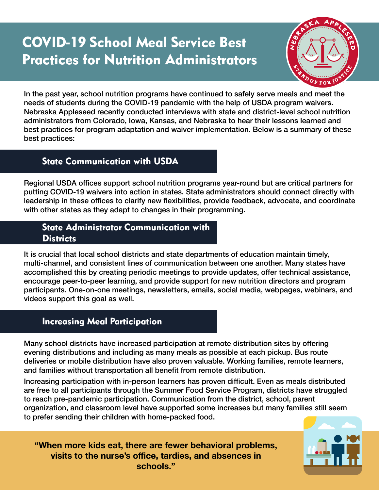# COVID-19 School Meal Service Best Practices for Nutrition Administrators



In the past year, school nutrition programs have continued to safely serve meals and meet the needs of students during the COVID-19 pandemic with the help of USDA program waivers. Nebraska Appleseed recently conducted interviews with state and district-level school nutrition administrators from Colorado, Iowa, Kansas, and Nebraska to hear their lessons learned and best practices for program adaptation and waiver implementation. Below is a summary of these best practices:

## State Communication with USDA

Regional USDA offices support school nutrition programs year-round but are critical partners for putting COVID-19 waivers into action in states. State administrators should connect directly with leadership in these offices to clarify new flexibilities, provide feedback, advocate, and coordinate with other states as they adapt to changes in their programming.

#### State Administrator Communication with **Districts**

It is crucial that local school districts and state departments of education maintain timely, multi-channel, and consistent lines of communication between one another. Many states have accomplished this by creating periodic meetings to provide updates, offer technical assistance, encourage peer-to-peer learning, and provide support for new nutrition directors and program participants. One-on-one meetings, newsletters, emails, social media, webpages, webinars, and videos support this goal as well.

# Increasing Meal Participation

Many school districts have increased participation at remote distribution sites by offering evening distributions and including as many meals as possible at each pickup. Bus route deliveries or mobile distribution have also proven valuable. Working families, remote learners, and families without transportation all benefit from remote distribution.

Increasing participation with in-person learners has proven difficult. Even as meals distributed are free to all participants through the Summer Food Service Program, districts have struggled to reach pre-pandemic participation. Communication from the district, school, parent organization, and classroom level have supported some increases but many families still seem to prefer sending their children with home-packed food.

**"When more kids eat, there are fewer behavioral problems, visits to the nurse's office, tardies, and absences in schools."**